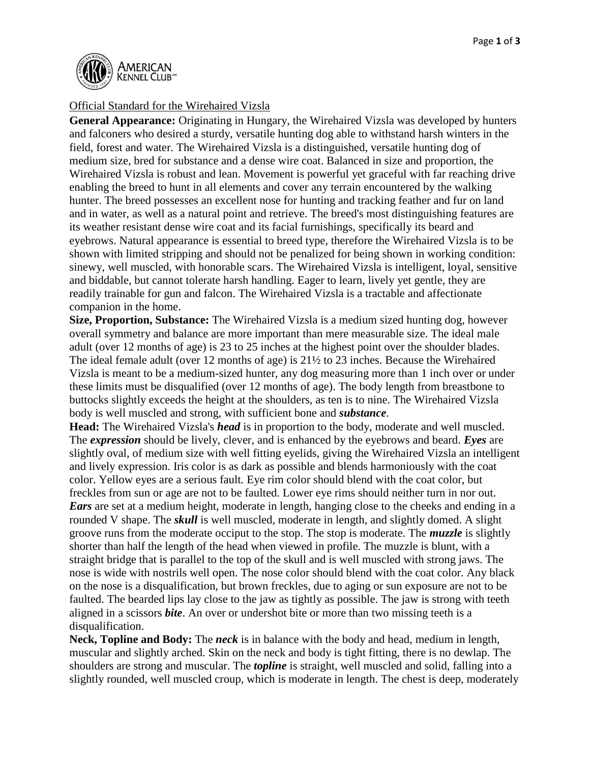

## Official Standard for the Wirehaired Vizsla

**General Appearance:** Originating in Hungary, the Wirehaired Vizsla was developed by hunters and falconers who desired a sturdy, versatile hunting dog able to withstand harsh winters in the field, forest and water. The Wirehaired Vizsla is a distinguished, versatile hunting dog of medium size, bred for substance and a dense wire coat. Balanced in size and proportion, the Wirehaired Vizsla is robust and lean. Movement is powerful yet graceful with far reaching drive enabling the breed to hunt in all elements and cover any terrain encountered by the walking hunter. The breed possesses an excellent nose for hunting and tracking feather and fur on land and in water, as well as a natural point and retrieve. The breed's most distinguishing features are its weather resistant dense wire coat and its facial furnishings, specifically its beard and eyebrows. Natural appearance is essential to breed type, therefore the Wirehaired Vizsla is to be shown with limited stripping and should not be penalized for being shown in working condition: sinewy, well muscled, with honorable scars. The Wirehaired Vizsla is intelligent, loyal, sensitive and biddable, but cannot tolerate harsh handling. Eager to learn, lively yet gentle, they are readily trainable for gun and falcon. The Wirehaired Vizsla is a tractable and affectionate companion in the home.

**Size, Proportion, Substance:** The Wirehaired Vizsla is a medium sized hunting dog, however overall symmetry and balance are more important than mere measurable size. The ideal male adult (over 12 months of age) is 23 to 25 inches at the highest point over the shoulder blades. The ideal female adult (over 12 months of age) is 21½ to 23 inches. Because the Wirehaired Vizsla is meant to be a medium-sized hunter, any dog measuring more than 1 inch over or under these limits must be disqualified (over 12 months of age). The body length from breastbone to buttocks slightly exceeds the height at the shoulders, as ten is to nine. The Wirehaired Vizsla body is well muscled and strong, with sufficient bone and *substance*.

**Head:** The Wirehaired Vizsla's *head* is in proportion to the body, moderate and well muscled. The *expression* should be lively, clever, and is enhanced by the eyebrows and beard. *Eyes* are slightly oval, of medium size with well fitting eyelids, giving the Wirehaired Vizsla an intelligent and lively expression. Iris color is as dark as possible and blends harmoniously with the coat color. Yellow eyes are a serious fault*.* Eye rim color should blend with the coat color, but freckles from sun or age are not to be faulted. Lower eye rims should neither turn in nor out. *Ears* are set at a medium height, moderate in length, hanging close to the cheeks and ending in a rounded V shape. The *skull* is well muscled, moderate in length, and slightly domed. A slight groove runs from the moderate occiput to the stop. The stop is moderate. The *muzzle* is slightly shorter than half the length of the head when viewed in profile. The muzzle is blunt, with a straight bridge that is parallel to the top of the skull and is well muscled with strong jaws. The nose is wide with nostrils well open. The nose color should blend with the coat color. Any black on the nose is a disqualification, but brown freckles, due to aging or sun exposure are not to be faulted. The bearded lips lay close to the jaw as tightly as possible. The jaw is strong with teeth aligned in a scissors *bite*. An over or undershot bite or more than two missing teeth is a disqualification.

**Neck, Topline and Body:** The *neck* is in balance with the body and head, medium in length, muscular and slightly arched. Skin on the neck and body is tight fitting, there is no dewlap. The shoulders are strong and muscular. The *topline* is straight, well muscled and solid, falling into a slightly rounded, well muscled croup, which is moderate in length. The chest is deep, moderately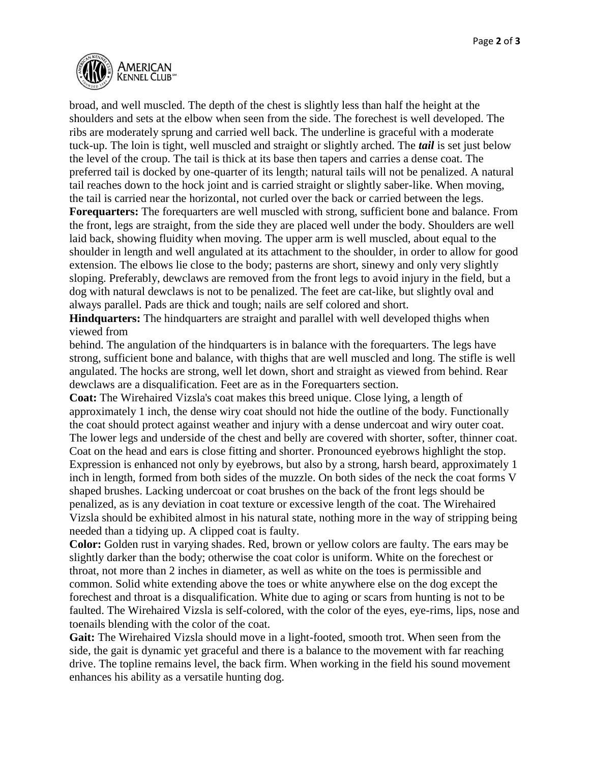

broad, and well muscled. The depth of the chest is slightly less than half the height at the shoulders and sets at the elbow when seen from the side. The forechest is well developed. The ribs are moderately sprung and carried well back. The underline is graceful with a moderate tuck-up. The loin is tight, well muscled and straight or slightly arched. The *tail* is set just below the level of the croup. The tail is thick at its base then tapers and carries a dense coat. The preferred tail is docked by one-quarter of its length; natural tails will not be penalized. A natural tail reaches down to the hock joint and is carried straight or slightly saber-like. When moving, the tail is carried near the horizontal, not curled over the back or carried between the legs.

**Forequarters:** The forequarters are well muscled with strong, sufficient bone and balance. From the front, legs are straight, from the side they are placed well under the body. Shoulders are well laid back, showing fluidity when moving. The upper arm is well muscled, about equal to the shoulder in length and well angulated at its attachment to the shoulder, in order to allow for good extension. The elbows lie close to the body; pasterns are short, sinewy and only very slightly sloping. Preferably, dewclaws are removed from the front legs to avoid injury in the field, but a dog with natural dewclaws is not to be penalized. The feet are cat-like, but slightly oval and always parallel. Pads are thick and tough; nails are self colored and short.

**Hindquarters:** The hindquarters are straight and parallel with well developed thighs when viewed from

behind. The angulation of the hindquarters is in balance with the forequarters. The legs have strong, sufficient bone and balance, with thighs that are well muscled and long. The stifle is well angulated. The hocks are strong, well let down, short and straight as viewed from behind. Rear dewclaws are a disqualification. Feet are as in the Forequarters section.

**Coat:** The Wirehaired Vizsla's coat makes this breed unique. Close lying, a length of approximately 1 inch, the dense wiry coat should not hide the outline of the body. Functionally the coat should protect against weather and injury with a dense undercoat and wiry outer coat. The lower legs and underside of the chest and belly are covered with shorter, softer, thinner coat. Coat on the head and ears is close fitting and shorter. Pronounced eyebrows highlight the stop. Expression is enhanced not only by eyebrows, but also by a strong, harsh beard, approximately 1 inch in length, formed from both sides of the muzzle. On both sides of the neck the coat forms V shaped brushes. Lacking undercoat or coat brushes on the back of the front legs should be penalized, as is any deviation in coat texture or excessive length of the coat. The Wirehaired Vizsla should be exhibited almost in his natural state, nothing more in the way of stripping being needed than a tidying up. A clipped coat is faulty.

**Color:** Golden rust in varying shades. Red, brown or yellow colors are faulty. The ears may be slightly darker than the body; otherwise the coat color is uniform. White on the forechest or throat, not more than 2 inches in diameter, as well as white on the toes is permissible and common. Solid white extending above the toes or white anywhere else on the dog except the forechest and throat is a disqualification. White due to aging or scars from hunting is not to be faulted. The Wirehaired Vizsla is self-colored, with the color of the eyes, eye-rims, lips, nose and toenails blending with the color of the coat.

**Gait:** The Wirehaired Vizsla should move in a light-footed, smooth trot. When seen from the side, the gait is dynamic yet graceful and there is a balance to the movement with far reaching drive. The topline remains level, the back firm. When working in the field his sound movement enhances his ability as a versatile hunting dog.